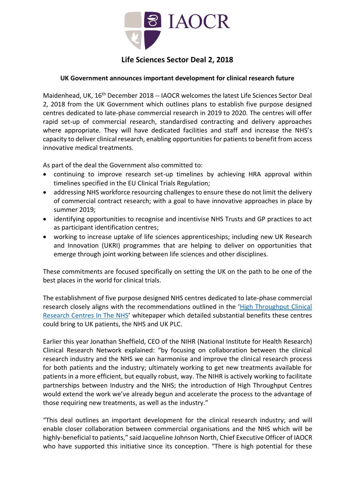

# **Life Sciences Sector Deal 2, 2018**

### **UK Government announces important development for clinical research future**

Maidenhead, UK, 16<sup>th</sup> December 2018 -- IAOCR welcomes the latest Life Sciences Sector Deal 2, 2018 from the UK Government which outlines plans to establish five purpose designed centres dedicated to late-phase commercial research in 2019 to 2020. The centres will offer rapid set-up of commercial research, standardised contracting and delivery approaches where appropriate. They will have dedicated facilities and staff and increase the NHS's capacity to deliver clinical research, enabling opportunities for patients to benefit from access innovative medical treatments.

As part of the deal the Government also committed to:

- continuing to improve research set-up timelines by achieving HRA approval within timelines specified in the EU Clinical Trials Regulation;
- addressing NHS workforce resourcing challenges to ensure these do not limit the delivery of commercial contract research; with a goal to have innovative approaches in place by summer 2019;
- identifying opportunities to recognise and incentivise NHS Trusts and GP practices to act as participant identification centres;
- working to increase uptake of life sciences apprenticeships; including new UK Research and Innovation (UKRI) programmes that are helping to deliver on opportunities that emerge through joint working between life sciences and other disciplines.

These commitments are focused specifically on setting the UK on the path to be one of the best places in the world for clinical trials.

The establishment of five purpose designed NHS centres dedicated to late-phase commercial research closely aligns with the recommendations outlined in the '[High Throughput Clinical](http://iaocr.com/wp-content/uploads/2018/10/181008_HTC-Whitepaper_Press-Release_FINAL.pdf)  [Research Centres In The NHS](http://iaocr.com/wp-content/uploads/2018/10/181008_HTC-Whitepaper_Press-Release_FINAL.pdf)' whitepaper which detailed substantial benefits these centres could bring to UK patients, the NHS and UK PLC.

Earlier this year Jonathan Sheffield, CEO of the NIHR (National Institute for Health Research) Clinical Research Network explained: "by focusing on collaboration between the clinical research industry and the NHS we can harmonise and improve the clinical research process for both patients and the industry; ultimately working to get new treatments available for patients in a more efficient, but equally robust, way. The NIHR is actively working to facilitate partnerships between Industry and the NHS; the introduction of High Throughput Centres would extend the work we've already begun and accelerate the process to the advantage of those requiring new treatments, as well as the industry."

"This deal outlines an important development for the clinical research industry; and will enable closer collaboration between commercial organisations and the NHS which will be highly-beneficial to patients," said Jacqueline Johnson North, Chief Executive Officer of IAOCR who have supported this initiative since its conception. "There is high potential for these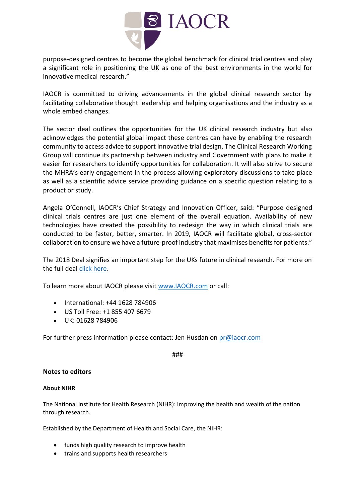

purpose-designed centres to become the global benchmark for clinical trial centres and play a significant role in positioning the UK as one of the best environments in the world for innovative medical research."

IAOCR is committed to driving advancements in the global clinical research sector by facilitating collaborative thought leadership and helping organisations and the industry as a whole embed changes.

The sector deal outlines the opportunities for the UK clinical research industry but also acknowledges the potential global impact these centres can have by enabling the research community to access advice to support innovative trial design. The Clinical Research Working Group will continue its partnership between industry and Government with plans to make it easier for researchers to identify opportunities for collaboration. It will also strive to secure the MHRA's early engagement in the process allowing exploratory discussions to take place as well as a scientific advice service providing guidance on a specific question relating to a product or study.

Angela O'Connell, IAOCR's Chief Strategy and Innovation Officer, said: "Purpose designed clinical trials centres are just one element of the overall equation. Availability of new technologies have created the possibility to redesign the way in which clinical trials are conducted to be faster, better, smarter. In 2019, IAOCR will facilitate global, cross-sector collaboration to ensure we have a future-proof industry that maximises benefits for patients."

The 2018 Deal signifies an important step for the UKs future in clinical research. For more on the full dea[l click here.](https://www.gov.uk/government/publications/life-sciences-sector-deal/life-sciences-sector-deal-2-2018)

To learn more about IAOCR please visit [www.IAOCR.com](http://www.iaocr.com/) or call:

- International: +44 1628 784906
- US Toll Free: +1 855 407 6679
- UK: 01628 784906

For further press information please contact: Jen Husdan on [pr@iaocr.com](mailto:pr@iaocr.com)

###

### **Notes to editors**

#### **About NIHR**

The National Institute for Health Research (NIHR): improving the health and wealth of the nation through research.

Established by the Department of Health and Social Care, the NIHR:

- funds high quality research to improve health
- trains and supports health researchers